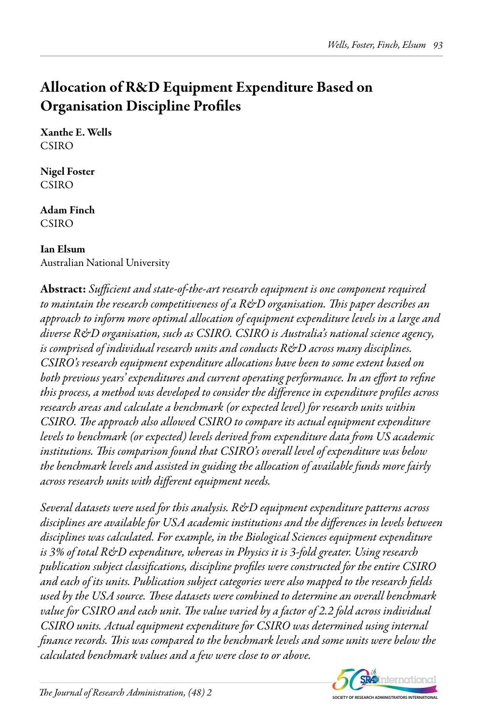# Allocation of R&D Equipment Expenditure Based on Organisation Discipline Profiles

Xanthe E. Wells **CSIRO** 

Nigel Foster CSIRO

Adam Finch CSIRO

# Ian Elsum

Australian National University

Abstract: *Sufficient and state-of-the-art research equipment is one component required to maintain the research competitiveness of a R&D organisation. This paper describes an approach to inform more optimal allocation of equipment expenditure levels in a large and diverse R&D organisation, such as CSIRO. CSIRO is Australia's national science agency, is comprised of individual research units and conducts R&D across many disciplines. CSIRO's research equipment expenditure allocations have been to some extent based on both previous years' expenditures and current operating performance. In an effort to refine this process, a method was developed to consider the difference in expenditure profiles across research areas and calculate a benchmark (or expected level) for research units within CSIRO. The approach also allowed CSIRO to compare its actual equipment expenditure levels to benchmark (or expected) levels derived from expenditure data from US academic institutions. This comparison found that CSIRO's overall level of expenditure was below the benchmark levels and assisted in guiding the allocation of available funds more fairly across research units with different equipment needs.*

*Several datasets were used for this analysis. R&D equipment expenditure patterns across disciplines are available for USA academic institutions and the differences in levels between disciplines was calculated. For example, in the Biological Sciences equipment expenditure is 3% of total R&D expenditure, whereas in Physics it is 3-fold greater. Using research publication subject classifications, discipline profiles were constructed for the entire CSIRO and each of its units. Publication subject categories were also mapped to the research fields used by the USA source. These datasets were combined to determine an overall benchmark value for CSIRO and each unit. The value varied by a factor of 2.2 fold across individual CSIRO units. Actual equipment expenditure for CSIRO was determined using internal finance records. This was compared to the benchmark levels and some units were below the calculated benchmark values and a few were close to or above.*

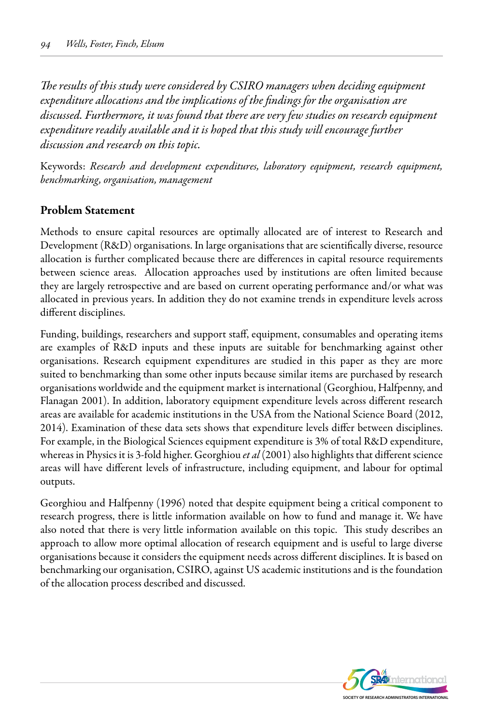*The results of this study were considered by CSIRO managers when deciding equipment expenditure allocations and the implications of the findings for the organisation are discussed. Furthermore, it was found that there are very few studies on research equipment expenditure readily available and it is hoped that this study will encourage further discussion and research on this topic.*

Keywords: *Research and development expenditures, laboratory equipment, research equipment, benchmarking, organisation, management*

#### Problem Statement

Methods to ensure capital resources are optimally allocated are of interest to Research and Development (R&D) organisations. In large organisations that are scientifically diverse, resource allocation is further complicated because there are differences in capital resource requirements between science areas. Allocation approaches used by institutions are often limited because they are largely retrospective and are based on current operating performance and/or what was allocated in previous years. In addition they do not examine trends in expenditure levels across different disciplines.

Funding, buildings, researchers and support staff, equipment, consumables and operating items are examples of R&D inputs and these inputs are suitable for benchmarking against other organisations. Research equipment expenditures are studied in this paper as they are more suited to benchmarking than some other inputs because similar items are purchased by research organisations worldwide and the equipment market is international (Georghiou, Halfpenny, and Flanagan 2001). In addition, laboratory equipment expenditure levels across different research areas are available for academic institutions in the USA from the National Science Board (2012, 2014). Examination of these data sets shows that expenditure levels differ between disciplines. For example, in the Biological Sciences equipment expenditure is 3% of total R&D expenditure, whereas in Physics it is 3-fold higher. Georghiou *et al* (2001) also highlights that different science areas will have different levels of infrastructure, including equipment, and labour for optimal outputs.

Georghiou and Halfpenny (1996) noted that despite equipment being a critical component to research progress, there is little information available on how to fund and manage it. We have also noted that there is very little information available on this topic. This study describes an approach to allow more optimal allocation of research equipment and is useful to large diverse organisations because it considers the equipment needs across different disciplines. It is based on benchmarking our organisation, CSIRO, against US academic institutions and is the foundation of the allocation process described and discussed.

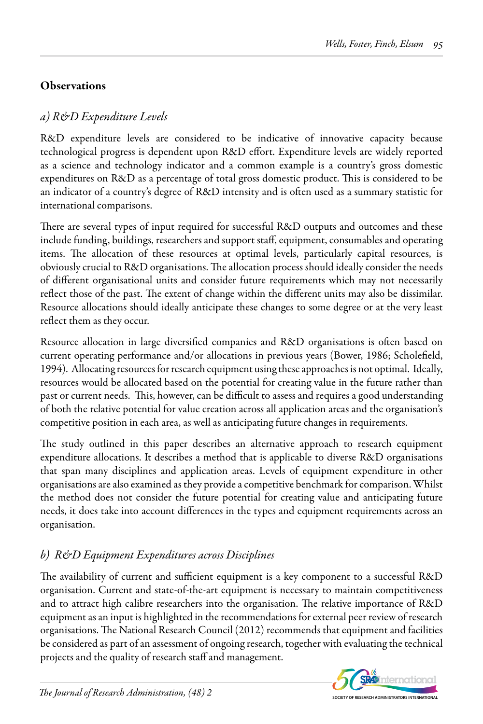## **Observations**

## *a) R&D Expenditure Levels*

R&D expenditure levels are considered to be indicative of innovative capacity because technological progress is dependent upon R&D effort. Expenditure levels are widely reported as a science and technology indicator and a common example is a country's gross domestic expenditures on R&D as a percentage of total gross domestic product. This is considered to be an indicator of a country's degree of R&D intensity and is often used as a summary statistic for international comparisons.

There are several types of input required for successful R&D outputs and outcomes and these include funding, buildings, researchers and support staff, equipment, consumables and operating items. The allocation of these resources at optimal levels, particularly capital resources, is obviously crucial to R&D organisations. The allocation process should ideally consider the needs of different organisational units and consider future requirements which may not necessarily reflect those of the past. The extent of change within the different units may also be dissimilar. Resource allocations should ideally anticipate these changes to some degree or at the very least reflect them as they occur.

Resource allocation in large diversified companies and R&D organisations is often based on current operating performance and/or allocations in previous years (Bower, 1986; Scholefield, 1994). Allocating resources for research equipment using these approaches is not optimal. Ideally, resources would be allocated based on the potential for creating value in the future rather than past or current needs. This, however, can be difficult to assess and requires a good understanding of both the relative potential for value creation across all application areas and the organisation's competitive position in each area, as well as anticipating future changes in requirements.

The study outlined in this paper describes an alternative approach to research equipment expenditure allocations. It describes a method that is applicable to diverse R&D organisations that span many disciplines and application areas. Levels of equipment expenditure in other organisations are also examined as they provide a competitive benchmark for comparison. Whilst the method does not consider the future potential for creating value and anticipating future needs, it does take into account differences in the types and equipment requirements across an organisation.

## *b) R&D Equipment Expenditures across Disciplines*

The availability of current and sufficient equipment is a key component to a successful R&D organisation. Current and state-of-the-art equipment is necessary to maintain competitiveness and to attract high calibre researchers into the organisation. The relative importance of R&D equipment as an input is highlighted in the recommendations for external peer review of research organisations. The National Research Council (2012) recommends that equipment and facilities be considered as part of an assessment of ongoing research, together with evaluating the technical projects and the quality of research staff and management.

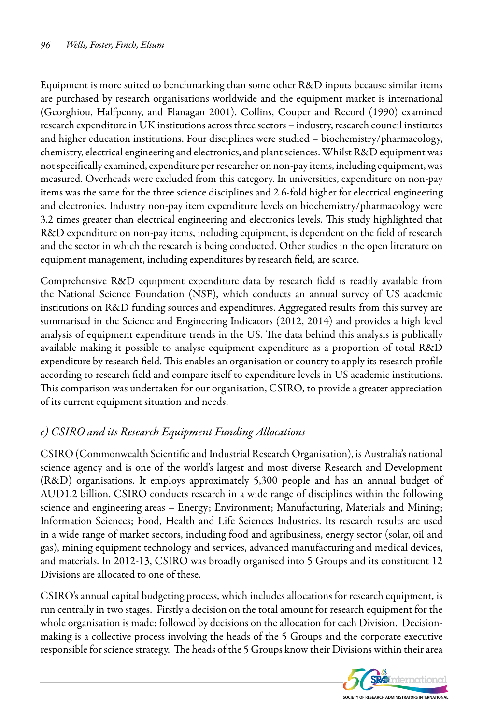Equipment is more suited to benchmarking than some other R&D inputs because similar items are purchased by research organisations worldwide and the equipment market is international (Georghiou, Halfpenny, and Flanagan 2001). Collins, Couper and Record (1990) examined research expenditure in UK institutions across three sectors – industry, research council institutes and higher education institutions. Four disciplines were studied – biochemistry/pharmacology, chemistry, electrical engineering and electronics, and plant sciences. Whilst R&D equipment was not specifically examined, expenditure per researcher on non-pay items, including equipment, was measured. Overheads were excluded from this category. In universities, expenditure on non-pay items was the same for the three science disciplines and 2.6-fold higher for electrical engineering and electronics. Industry non-pay item expenditure levels on biochemistry/pharmacology were 3.2 times greater than electrical engineering and electronics levels. This study highlighted that R&D expenditure on non-pay items, including equipment, is dependent on the field of research and the sector in which the research is being conducted. Other studies in the open literature on equipment management, including expenditures by research field, are scarce.

Comprehensive R&D equipment expenditure data by research field is readily available from the National Science Foundation (NSF), which conducts an annual survey of US academic institutions on R&D funding sources and expenditures. Aggregated results from this survey are summarised in the Science and Engineering Indicators (2012, 2014) and provides a high level analysis of equipment expenditure trends in the US. The data behind this analysis is publically available making it possible to analyse equipment expenditure as a proportion of total R&D expenditure by research field. This enables an organisation or country to apply its research profile according to research field and compare itself to expenditure levels in US academic institutions. This comparison was undertaken for our organisation, CSIRO, to provide a greater appreciation of its current equipment situation and needs.

### *c) CSIRO and its Research Equipment Funding Allocations*

CSIRO (Commonwealth Scientific and Industrial Research Organisation), is Australia's national science agency and is one of the world's largest and most diverse Research and Development (R&D) organisations. It employs approximately 5,300 people and has an annual budget of AUD1.2 billion. CSIRO conducts research in a wide range of disciplines within the following science and engineering areas – Energy; Environment; Manufacturing, Materials and Mining; Information Sciences; Food, Health and Life Sciences Industries. Its research results are used in a wide range of market sectors, including food and agribusiness, energy sector (solar, oil and gas), mining equipment technology and services, advanced manufacturing and medical devices, and materials. In 2012-13, CSIRO was broadly organised into 5 Groups and its constituent 12 Divisions are allocated to one of these.

CSIRO's annual capital budgeting process, which includes allocations for research equipment, is run centrally in two stages. Firstly a decision on the total amount for research equipment for the whole organisation is made; followed by decisions on the allocation for each Division. Decisionmaking is a collective process involving the heads of the 5 Groups and the corporate executive responsible for science strategy. The heads of the 5 Groups know their Divisions within their area

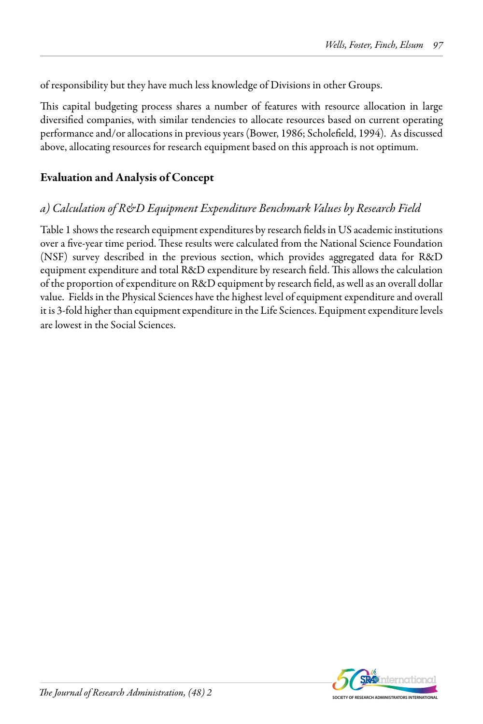of responsibility but they have much less knowledge of Divisions in other Groups.

This capital budgeting process shares a number of features with resource allocation in large diversified companies, with similar tendencies to allocate resources based on current operating performance and/or allocations in previous years (Bower, 1986; Scholefield, 1994). As discussed above, allocating resources for research equipment based on this approach is not optimum.

## Evaluation and Analysis of Concept

## *a) Calculation of R&D Equipment Expenditure Benchmark Values by Research Field*

Table 1 shows the research equipment expenditures by research fields in US academic institutions over a five-year time period. These results were calculated from the National Science Foundation (NSF) survey described in the previous section, which provides aggregated data for R&D equipment expenditure and total R&D expenditure by research field. This allows the calculation of the proportion of expenditure on R&D equipment by research field, as well as an overall dollar value. Fields in the Physical Sciences have the highest level of equipment expenditure and overall it is 3-fold higher than equipment expenditure in the Life Sciences. Equipment expenditure levels are lowest in the Social Sciences.

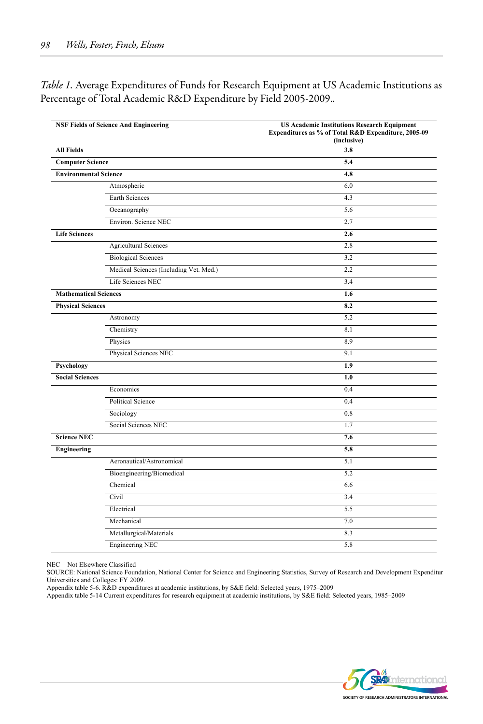*Table 1.* Average Expenditures of Funds for Research Equipment at US Academic Institutions as Percentage of Total Academic R&D Expenditure by Field 2005-2009..

|                              | <b>NSF Fields of Science And Engineering</b> | <b>US Academic Institutions Research Equipment</b><br>Expenditures as % of Total R&D Expenditure, 2005-09<br>(inclusive) |
|------------------------------|----------------------------------------------|--------------------------------------------------------------------------------------------------------------------------|
| <b>All Fields</b>            |                                              | 3.8                                                                                                                      |
| <b>Computer Science</b>      |                                              | 5.4                                                                                                                      |
| <b>Environmental Science</b> |                                              | 4.8                                                                                                                      |
|                              | Atmospheric                                  | 6.0                                                                                                                      |
|                              | Earth Sciences                               | 4.3                                                                                                                      |
|                              | Oceanography                                 | 5.6                                                                                                                      |
|                              | Environ. Science NEC                         | 2.7                                                                                                                      |
| <b>Life Sciences</b>         |                                              | 2.6                                                                                                                      |
|                              | <b>Agricultural Sciences</b>                 | 2.8                                                                                                                      |
|                              | <b>Biological Sciences</b>                   | 3.2                                                                                                                      |
|                              | Medical Sciences (Including Vet. Med.)       | 2.2                                                                                                                      |
|                              | Life Sciences NEC                            | 3.4                                                                                                                      |
| <b>Mathematical Sciences</b> |                                              | 1.6                                                                                                                      |
| <b>Physical Sciences</b>     |                                              | 8.2                                                                                                                      |
|                              | Astronomy                                    | 5.2                                                                                                                      |
|                              | Chemistry                                    | 8.1                                                                                                                      |
|                              | Physics                                      | 8.9                                                                                                                      |
|                              | Physical Sciences NEC                        | 9.1                                                                                                                      |
| Psychology                   |                                              | 1.9                                                                                                                      |
| <b>Social Sciences</b>       |                                              | 1.0                                                                                                                      |
|                              | Economics                                    | 0.4                                                                                                                      |
|                              | Political Science                            | 0.4                                                                                                                      |
|                              | Sociology                                    | 0.8                                                                                                                      |
|                              | Social Sciences NEC                          | 1.7                                                                                                                      |
| <b>Science NEC</b>           |                                              | 7.6                                                                                                                      |
| Engineering                  |                                              | 5.8                                                                                                                      |
|                              | Aeronautical/Astronomical                    | 5.1                                                                                                                      |
|                              | Bioengineering/Biomedical                    | 5.2                                                                                                                      |
|                              | Chemical                                     | 6.6                                                                                                                      |
|                              | Civil                                        | 3.4                                                                                                                      |
|                              | Electrical                                   | 5.5                                                                                                                      |
|                              | Mechanical                                   | 7.0                                                                                                                      |
|                              | Metallurgical/Materials                      | 8.3                                                                                                                      |
|                              | <b>Engineering NEC</b>                       | 5.8                                                                                                                      |

NEC = Not Elsewhere Classified

SOURCE: National Science Foundation, National Center for Science and Engineering Statistics, Survey of Research and Development Expenditur Universities and Colleges: FY 2009.

Appendix table 5-6. R&D expenditures at academic institutions, by S&E field: Selected years, 1975–2009

Appendix table 5-14 Current expenditures for research equipment at academic institutions, by S&E field: Selected years, 1985–2009

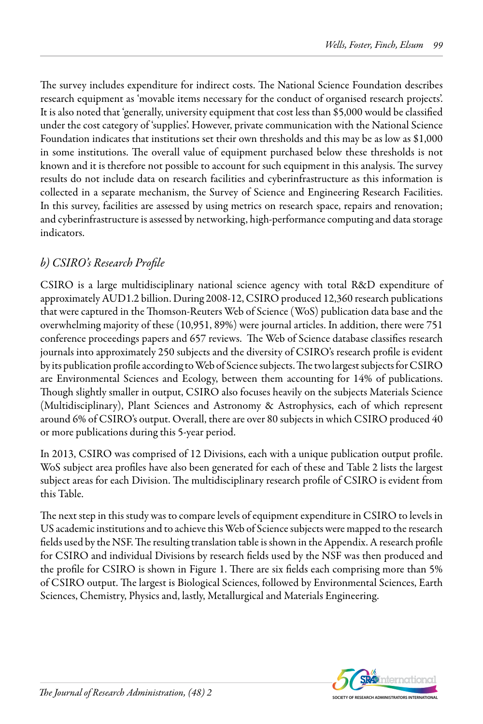The survey includes expenditure for indirect costs. The National Science Foundation describes research equipment as 'movable items necessary for the conduct of organised research projects'. It is also noted that 'generally, university equipment that cost less than \$5,000 would be classified under the cost category of 'supplies'. However, private communication with the National Science Foundation indicates that institutions set their own thresholds and this may be as low as \$1,000 in some institutions. The overall value of equipment purchased below these thresholds is not known and it is therefore not possible to account for such equipment in this analysis. The survey results do not include data on research facilities and cyberinfrastructure as this information is collected in a separate mechanism, the Survey of Science and Engineering Research Facilities. In this survey, facilities are assessed by using metrics on research space, repairs and renovation; and cyberinfrastructure is assessed by networking, high-performance computing and data storage indicators.

## *b) CSIRO's Research Profile*

CSIRO is a large multidisciplinary national science agency with total R&D expenditure of approximately AUD1.2 billion. During 2008-12, CSIRO produced 12,360 research publications that were captured in the Thomson-Reuters Web of Science (WoS) publication data base and the overwhelming majority of these (10,951, 89%) were journal articles. In addition, there were 751 conference proceedings papers and 657 reviews. The Web of Science database classifies research journals into approximately 250 subjects and the diversity of CSIRO's research profile is evident by its publication profile according to Web of Science subjects. The two largest subjects for CSIRO are Environmental Sciences and Ecology, between them accounting for 14% of publications. Though slightly smaller in output, CSIRO also focuses heavily on the subjects Materials Science (Multidisciplinary), Plant Sciences and Astronomy & Astrophysics, each of which represent around 6% of CSIRO's output. Overall, there are over 80 subjects in which CSIRO produced 40 or more publications during this 5-year period.

In 2013, CSIRO was comprised of 12 Divisions, each with a unique publication output profile. WoS subject area profiles have also been generated for each of these and Table 2 lists the largest subject areas for each Division. The multidisciplinary research profile of CSIRO is evident from this Table.

The next step in this study was to compare levels of equipment expenditure in CSIRO to levels in US academic institutions and to achieve this Web of Science subjects were mapped to the research fields used by the NSF. The resulting translation table is shown in the Appendix. A research profile for CSIRO and individual Divisions by research fields used by the NSF was then produced and the profile for CSIRO is shown in Figure 1. There are six fields each comprising more than 5% of CSIRO output. The largest is Biological Sciences, followed by Environmental Sciences, Earth Sciences, Chemistry, Physics and, lastly, Metallurgical and Materials Engineering.

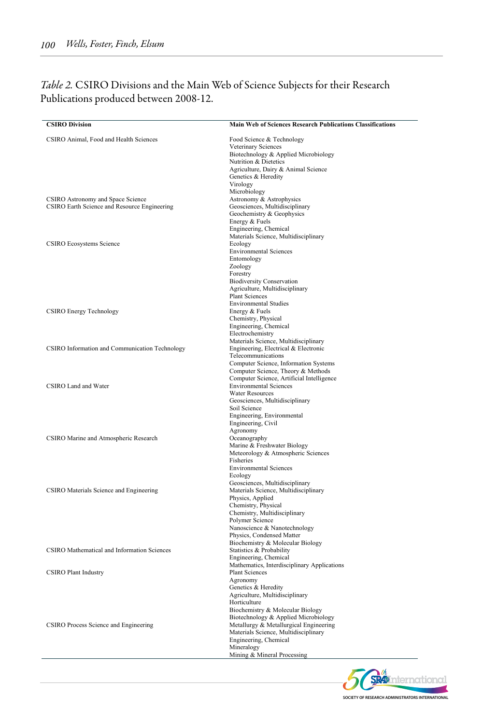### *Table 2.* CSIRO Divisions and the Main Web of Science Subjects for their Research Publications produced between 2008-12.

| <b>CSIRO Division</b>                          | Main Web of Sciences Research Publications Classifications                 |
|------------------------------------------------|----------------------------------------------------------------------------|
| CSIRO Animal, Food and Health Sciences         | Food Science & Technology                                                  |
|                                                | Veterinary Sciences                                                        |
|                                                | Biotechnology & Applied Microbiology<br>Nutrition & Dietetics              |
|                                                | Agriculture, Dairy & Animal Science                                        |
|                                                | Genetics & Heredity                                                        |
|                                                | Virology                                                                   |
|                                                | Microbiology                                                               |
| CSIRO Astronomy and Space Science              | Astronomy & Astrophysics                                                   |
| CSIRO Earth Science and Resource Engineering   | Geosciences, Multidisciplinary                                             |
|                                                | Geochemistry & Geophysics<br>Energy & Fuels                                |
|                                                | Engineering, Chemical                                                      |
|                                                | Materials Science, Multidisciplinary                                       |
| <b>CSIRO Ecosystems Science</b>                | Ecology                                                                    |
|                                                | <b>Environmental Sciences</b>                                              |
|                                                | Entomology                                                                 |
|                                                | Zoology<br>Forestry                                                        |
|                                                | <b>Biodiversity Conservation</b>                                           |
|                                                | Agriculture, Multidisciplinary                                             |
|                                                | <b>Plant Sciences</b>                                                      |
|                                                | <b>Environmental Studies</b>                                               |
| <b>CSIRO Energy Technology</b>                 | Energy & Fuels                                                             |
|                                                | Chemistry, Physical                                                        |
|                                                | Engineering, Chemical<br>Electrochemistry                                  |
|                                                | Materials Science, Multidisciplinary                                       |
| CSIRO Information and Communication Technology | Engineering, Electrical & Electronic                                       |
|                                                | Telecommunications                                                         |
|                                                | Computer Science, Information Systems                                      |
|                                                | Computer Science, Theory & Methods                                         |
| CSIRO Land and Water                           | Computer Science, Artificial Intelligence<br><b>Environmental Sciences</b> |
|                                                | <b>Water Resources</b>                                                     |
|                                                | Geosciences, Multidisciplinary                                             |
|                                                | Soil Science                                                               |
|                                                | Engineering, Environmental                                                 |
|                                                | Engineering, Civil                                                         |
| CSIRO Marine and Atmospheric Research          | Agronomy<br>Oceanography                                                   |
|                                                | Marine & Freshwater Biology                                                |
|                                                | Meteorology & Atmospheric Sciences                                         |
|                                                | Fisheries                                                                  |
|                                                | <b>Environmental Sciences</b>                                              |
|                                                | Ecology                                                                    |
| CSIRO Materials Science and Engineering        | Geosciences, Multidisciplinary<br>Materials Science, Multidisciplinary     |
|                                                | Physics, Applied                                                           |
|                                                | Chemistry, Physical                                                        |
|                                                | Chemistry, Multidisciplinary                                               |
|                                                | Polymer Science                                                            |
|                                                | Nanoscience & Nanotechnology                                               |
|                                                | Physics, Condensed Matter<br>Biochemistry & Molecular Biology              |
| CSIRO Mathematical and Information Sciences    | Statistics & Probability                                                   |
|                                                | Engineering, Chemical                                                      |
|                                                | Mathematics, Interdisciplinary Applications                                |
| <b>CSIRO Plant Industry</b>                    | <b>Plant Sciences</b>                                                      |
|                                                | Agronomy                                                                   |
|                                                | Genetics & Heredity<br>Agriculture, Multidisciplinary                      |
|                                                | Horticulture                                                               |
|                                                | Biochemistry & Molecular Biology                                           |
|                                                | Biotechnology & Applied Microbiology                                       |
| CSIRO Process Science and Engineering          | Metallurgy & Metallurgical Engineering                                     |
|                                                | Materials Science, Multidisciplinary                                       |
|                                                | Engineering, Chemical<br>Mineralogy                                        |
|                                                | Mining & Mineral Processing                                                |
|                                                |                                                                            |

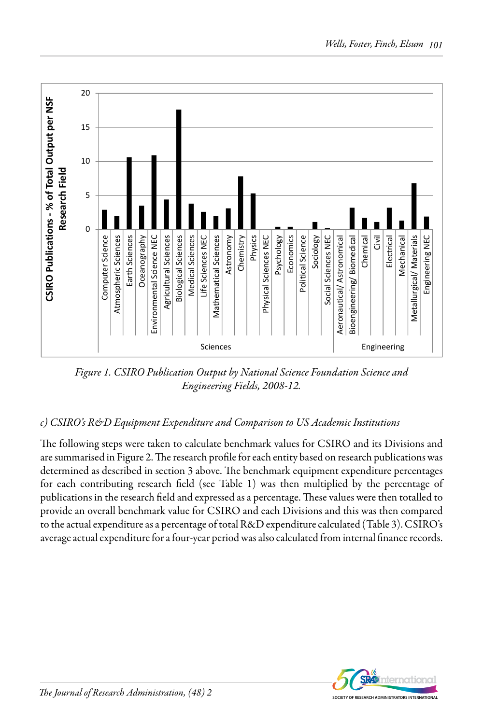

*Figure 1. CSIRO Publication Output by National Science Foundation Science and Engineering Fields, 2008-12.*

# *c) CSIRO's R&D Equipment Expenditure and Comparison to US Academic Institutions*

The following steps were taken to calculate benchmark values for CSIRO and its Divisions and are summarised in Figure 2. The research profile for each entity based on research publications was determined as described in section 3 above. The benchmark equipment expenditure percentages for each contributing research field (see Table 1) was then multiplied by the percentage of publications in the research field and expressed as a percentage. These values were then totalled to provide an overall benchmark value for CSIRO and each Divisions and this was then compared to the actual expenditure as a percentage of total R&D expenditure calculated (Table 3). CSIRO's average actual expenditure for a four-year period was also calculated from internal finance records.

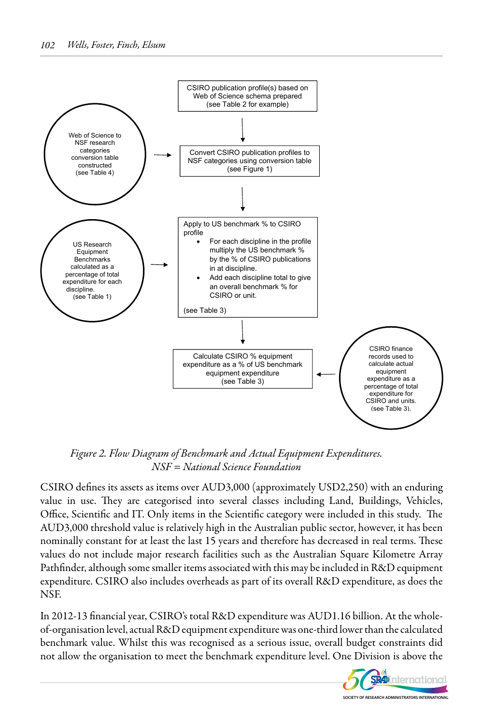

*Figure 2. Flow Diagram of Benchmark and Actual Equipment Expenditures. NSF = National Science Foundation*

CSIRO defines its assets as items over AUD3,000 (approximately USD2,250) with an enduring value in use. They are categorised into several classes including Land, Buildings, Vehicles, Office, Scientific and IT. Only items in the Scientific category were included in this study. The AUD3,000 threshold value is relatively high in the Australian public sector, however, it has been nominally constant for at least the last 15 years and therefore has decreased in real terms. These values do not include major research facilities such as the Australian Square Kilometre Array Pathfinder, although some smaller items associated with this may be included in R&D equipment expenditure. CSIRO also includes overheads as part of its overall R&D expenditure, as does the NSF.

In 2012-13 financial year, CSIRO's total R&D expenditure was AUD1.16 billion. At the wholeof-organisation level, actual R&D equipment expenditure was one-third lower than the calculated benchmark value. Whilst this was recognised as a serious issue, overall budget constraints did not allow the organisation to meet the benchmark expenditure level. One Division is above the

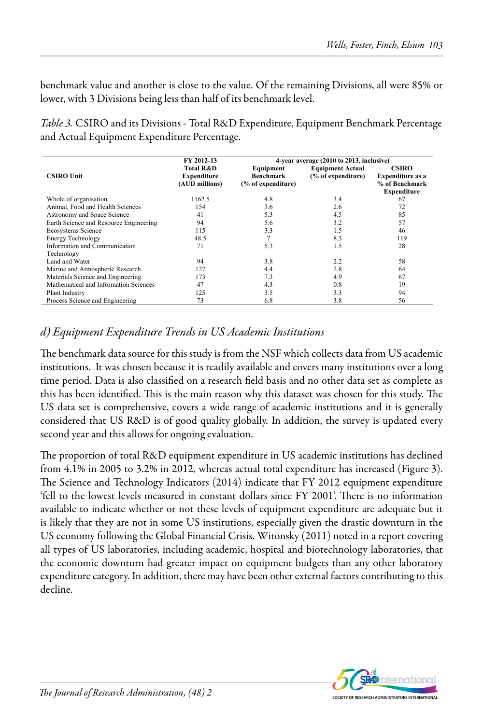benchmark value and another is close to the value. Of the remaining Divisions, all were 85% or lower, with 3 Divisions being less than half of its benchmark level.

*Table 3.* CSIRO and its Divisions - Total R&D Expenditure, Equipment Benchmark Percentage and Actual Equipment Expenditure Percentage.

|                                        | FY 2012-13                                            |                                                     | 4-year average (2010 to 2013, inclusive)      |                                                                                 |
|----------------------------------------|-------------------------------------------------------|-----------------------------------------------------|-----------------------------------------------|---------------------------------------------------------------------------------|
| <b>CSIRO Unit</b>                      | <b>Total R&amp;D</b><br>Expenditure<br>(AUD millions) | Equipment<br><b>Benchmark</b><br>(% of expenditure) | <b>Equipment Actual</b><br>(% of expenditure) | <b>CSIRO</b><br><b>Expenditure as a</b><br>% of Benchmark<br><b>Expenditure</b> |
| Whole of organisation                  | 1162.5                                                | 4.8                                                 | 3.4                                           | 67                                                                              |
| Animal, Food and Health Sciences       | 154                                                   | 3.6                                                 | 2.6                                           | 72                                                                              |
| Astronomy and Space Science            | 41                                                    | 5.3                                                 | 4.5                                           | 85                                                                              |
| Earth Science and Resource Engineering | 94                                                    | 5.6                                                 | 3.2                                           | 57                                                                              |
| Ecosystems Science                     | 115                                                   | 3.3                                                 | 1.5                                           | 46                                                                              |
| <b>Energy Technology</b>               | 48.5                                                  |                                                     | 8.3                                           | 119                                                                             |
| Information and Communication          | 71                                                    | 5.3                                                 | 1.5                                           | 28                                                                              |
| Technology                             |                                                       |                                                     |                                               |                                                                                 |
| Land and Water                         | 94                                                    | 38                                                  | 22                                            | 58                                                                              |
| Marine and Atmospheric Research        | 127                                                   | 4.4                                                 | 28                                            | 64                                                                              |
| Materials Science and Engineering      | 173                                                   | 7.3                                                 | 4.9                                           | 67                                                                              |
| Mathematical and Information Sciences  | 47                                                    | 4.3                                                 | 0.8                                           | 19                                                                              |
| Plant Industry                         | 125                                                   | 3.5                                                 | 3.3                                           | 94                                                                              |
| Process Science and Engineering        | 73                                                    | 6.8                                                 | 3.8                                           | 56                                                                              |

## *d) Equipment Expenditure Trends in US Academic Institutions*

The benchmark data source for this study is from the NSF which collects data from US academic institutions. It was chosen because it is readily available and covers many institutions over a long time period. Data is also classified on a research field basis and no other data set as complete as this has been identified. This is the main reason why this dataset was chosen for this study. The US data set is comprehensive, covers a wide range of academic institutions and it is generally considered that US R&D is of good quality globally. In addition, the survey is updated every second year and this allows for ongoing evaluation.

The proportion of total R&D equipment expenditure in US academic institutions has declined from 4.1% in 2005 to 3.2% in 2012, whereas actual total expenditure has increased (Figure 3). The Science and Technology Indicators (2014) indicate that FY 2012 equipment expenditure 'fell to the lowest levels measured in constant dollars since FY 2001'. There is no information available to indicate whether or not these levels of equipment expenditure are adequate but it is likely that they are not in some US institutions, especially given the drastic downturn in the US economy following the Global Financial Crisis. Witonsky (2011) noted in a report covering all types of US laboratories, including academic, hospital and biotechnology laboratories, that the economic downturn had greater impact on equipment budgets than any other laboratory expenditure category. In addition, there may have been other external factors contributing to this decline.

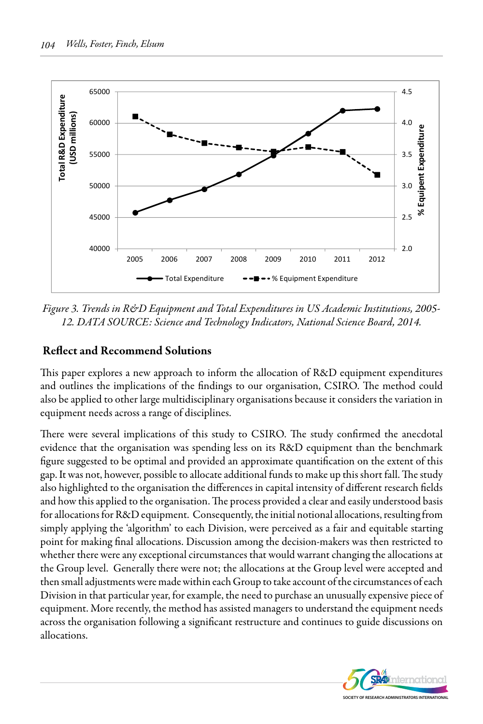

*Figure 3. Trends in R&D Equipment and Total Expenditures in US Academic Institutions, 2005- 12. DATA SOURCE: Science and Technology Indicators, National Science Board, 2014.*

### Reflect and Recommend Solutions

This paper explores a new approach to inform the allocation of R&D equipment expenditures and outlines the implications of the findings to our organisation, CSIRO. The method could also be applied to other large multidisciplinary organisations because it considers the variation in equipment needs across a range of disciplines.

There were several implications of this study to CSIRO. The study confirmed the anecdotal evidence that the organisation was spending less on its R&D equipment than the benchmark figure suggested to be optimal and provided an approximate quantification on the extent of this gap. It was not, however, possible to allocate additional funds to make up this short fall. The study also highlighted to the organisation the differences in capital intensity of different research fields and how this applied to the organisation. The process provided a clear and easily understood basis for allocations for R&D equipment. Consequently, the initial notional allocations, resulting from simply applying the 'algorithm' to each Division, were perceived as a fair and equitable starting point for making final allocations. Discussion among the decision-makers was then restricted to whether there were any exceptional circumstances that would warrant changing the allocations at the Group level. Generally there were not; the allocations at the Group level were accepted and then small adjustments were made within each Group to take account of the circumstances of each Division in that particular year, for example, the need to purchase an unusually expensive piece of equipment. More recently, the method has assisted managers to understand the equipment needs across the organisation following a significant restructure and continues to guide discussions on allocations.

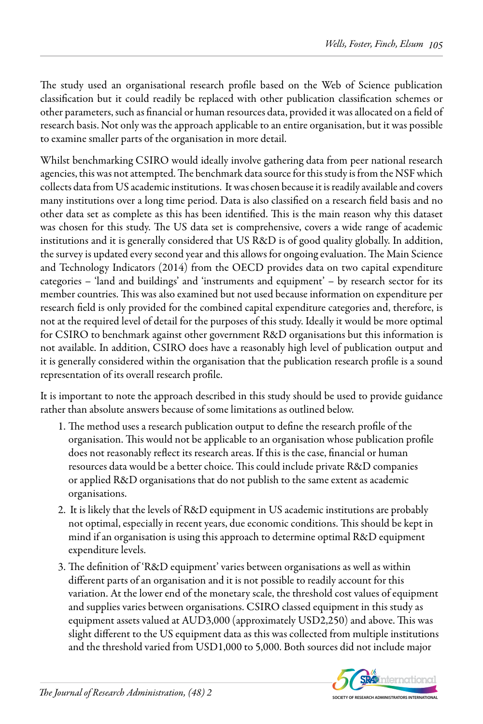The study used an organisational research profile based on the Web of Science publication classification but it could readily be replaced with other publication classification schemes or other parameters, such as financial or human resources data, provided it was allocated on a field of research basis. Not only was the approach applicable to an entire organisation, but it was possible to examine smaller parts of the organisation in more detail.

Whilst benchmarking CSIRO would ideally involve gathering data from peer national research agencies, this was not attempted. The benchmark data source for this study is from the NSF which collects data from US academic institutions. It was chosen because it is readily available and covers many institutions over a long time period. Data is also classified on a research field basis and no other data set as complete as this has been identified. This is the main reason why this dataset was chosen for this study. The US data set is comprehensive, covers a wide range of academic institutions and it is generally considered that US R&D is of good quality globally. In addition, the survey is updated every second year and this allows for ongoing evaluation. The Main Science and Technology Indicators (2014) from the OECD provides data on two capital expenditure categories – 'land and buildings' and 'instruments and equipment' – by research sector for its member countries. This was also examined but not used because information on expenditure per research field is only provided for the combined capital expenditure categories and, therefore, is not at the required level of detail for the purposes of this study. Ideally it would be more optimal for CSIRO to benchmark against other government R&D organisations but this information is not available. In addition, CSIRO does have a reasonably high level of publication output and it is generally considered within the organisation that the publication research profile is a sound representation of its overall research profile.

It is important to note the approach described in this study should be used to provide guidance rather than absolute answers because of some limitations as outlined below.

- 1. The method uses a research publication output to define the research profile of the organisation. This would not be applicable to an organisation whose publication profile does not reasonably reflect its research areas. If this is the case, financial or human resources data would be a better choice. This could include private R&D companies or applied R&D organisations that do not publish to the same extent as academic organisations.
- 2. It is likely that the levels of R&D equipment in US academic institutions are probably not optimal, especially in recent years, due economic conditions. This should be kept in mind if an organisation is using this approach to determine optimal R&D equipment expenditure levels.
- 3. The definition of 'R&D equipment' varies between organisations as well as within different parts of an organisation and it is not possible to readily account for this variation. At the lower end of the monetary scale, the threshold cost values of equipment and supplies varies between organisations. CSIRO classed equipment in this study as equipment assets valued at AUD3,000 (approximately USD2,250) and above. This was slight different to the US equipment data as this was collected from multiple institutions and the threshold varied from USD1,000 to 5,000. Both sources did not include major

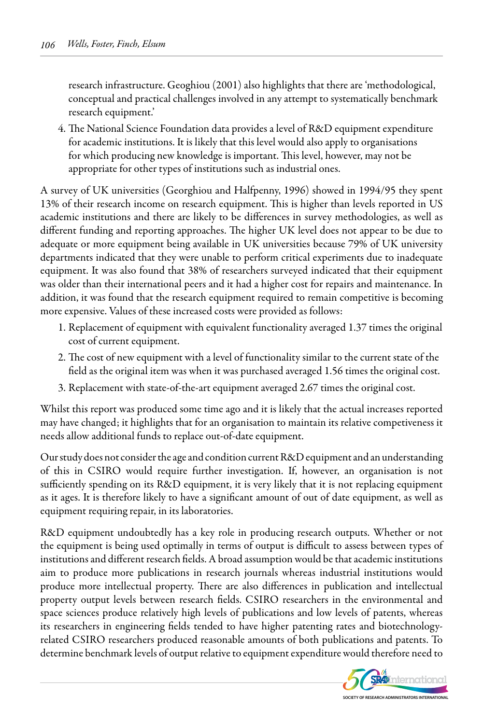research infrastructure. Geoghiou (2001) also highlights that there are 'methodological, conceptual and practical challenges involved in any attempt to systematically benchmark research equipment.'

4. The National Science Foundation data provides a level of R&D equipment expenditure for academic institutions. It is likely that this level would also apply to organisations for which producing new knowledge is important. This level, however, may not be appropriate for other types of institutions such as industrial ones.

A survey of UK universities (Georghiou and Halfpenny, 1996) showed in 1994/95 they spent 13% of their research income on research equipment. This is higher than levels reported in US academic institutions and there are likely to be differences in survey methodologies, as well as different funding and reporting approaches. The higher UK level does not appear to be due to adequate or more equipment being available in UK universities because 79% of UK university departments indicated that they were unable to perform critical experiments due to inadequate equipment. It was also found that 38% of researchers surveyed indicated that their equipment was older than their international peers and it had a higher cost for repairs and maintenance. In addition, it was found that the research equipment required to remain competitive is becoming more expensive. Values of these increased costs were provided as follows:

- 1. Replacement of equipment with equivalent functionality averaged 1.37 times the original cost of current equipment.
- 2. The cost of new equipment with a level of functionality similar to the current state of the field as the original item was when it was purchased averaged 1.56 times the original cost.
- 3. Replacement with state-of-the-art equipment averaged 2.67 times the original cost.

Whilst this report was produced some time ago and it is likely that the actual increases reported may have changed; it highlights that for an organisation to maintain its relative competiveness it needs allow additional funds to replace out-of-date equipment.

Our study does not consider the age and condition current R&D equipment and an understanding of this in CSIRO would require further investigation. If, however, an organisation is not sufficiently spending on its R&D equipment, it is very likely that it is not replacing equipment as it ages. It is therefore likely to have a significant amount of out of date equipment, as well as equipment requiring repair, in its laboratories.

R&D equipment undoubtedly has a key role in producing research outputs. Whether or not the equipment is being used optimally in terms of output is difficult to assess between types of institutions and different research fields. A broad assumption would be that academic institutions aim to produce more publications in research journals whereas industrial institutions would produce more intellectual property. There are also differences in publication and intellectual property output levels between research fields. CSIRO researchers in the environmental and space sciences produce relatively high levels of publications and low levels of patents, whereas its researchers in engineering fields tended to have higher patenting rates and biotechnologyrelated CSIRO researchers produced reasonable amounts of both publications and patents. To determine benchmark levels of output relative to equipment expenditure would therefore need to

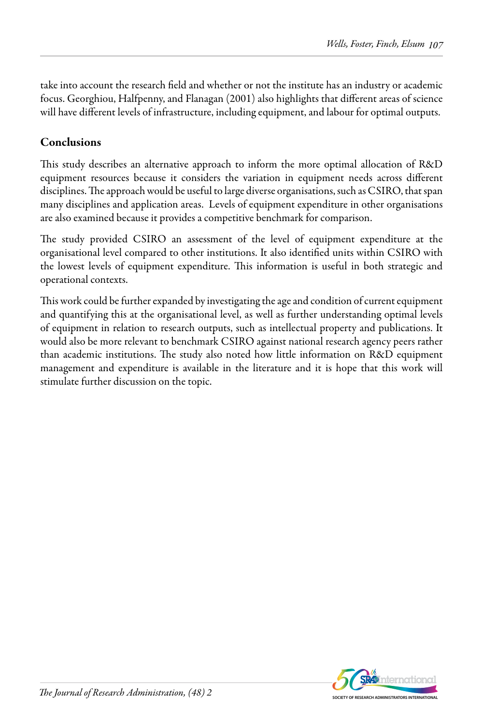take into account the research field and whether or not the institute has an industry or academic focus. Georghiou, Halfpenny, and Flanagan (2001) also highlights that different areas of science will have different levels of infrastructure, including equipment, and labour for optimal outputs.

## **Conclusions**

This study describes an alternative approach to inform the more optimal allocation of R&D equipment resources because it considers the variation in equipment needs across different disciplines. The approach would be useful to large diverse organisations, such as CSIRO, that span many disciplines and application areas. Levels of equipment expenditure in other organisations are also examined because it provides a competitive benchmark for comparison.

The study provided CSIRO an assessment of the level of equipment expenditure at the organisational level compared to other institutions. It also identified units within CSIRO with the lowest levels of equipment expenditure. This information is useful in both strategic and operational contexts.

This work could be further expanded by investigating the age and condition of current equipment and quantifying this at the organisational level, as well as further understanding optimal levels of equipment in relation to research outputs, such as intellectual property and publications. It would also be more relevant to benchmark CSIRO against national research agency peers rather than academic institutions. The study also noted how little information on R&D equipment management and expenditure is available in the literature and it is hope that this work will stimulate further discussion on the topic.

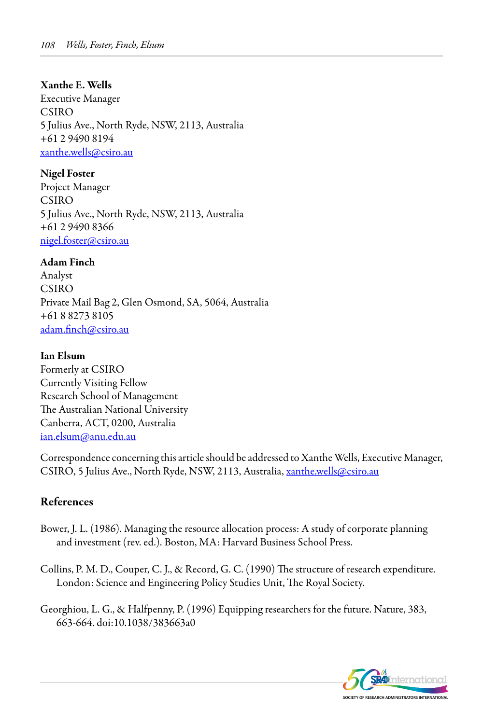#### Xanthe E. Wells

Executive Manager CSIRO 5 Julius Ave., North Ryde, NSW, 2113, Australia +61 2 9490 8194 xanthe.wells@csiro.au

Nigel Foster Project Manager CSIRO 5 Julius Ave., North Ryde, NSW, 2113, Australia +61 2 9490 8366 nigel.foster@csiro.au

#### Adam Finch

Analyst CSIRO Private Mail Bag 2, Glen Osmond, SA, 5064, Australia +61 8 8273 8105 adam.finch@csiro.au

#### Ian Elsum

Formerly at CSIRO Currently Visiting Fellow Research School of Management The Australian National University Canberra, ACT, 0200, Australia ian.elsum@anu.edu.au

Correspondence concerning this article should be addressed to Xanthe Wells, Executive Manager, CSIRO, 5 Julius Ave., North Ryde, NSW, 2113, Australia, xanthe.wells@csiro.au

#### References

- Bower, J. L. (1986). Managing the resource allocation process: A study of corporate planning and investment (rev. ed.). Boston, MA: Harvard Business School Press.
- Collins, P. M. D., Couper, C. J., & Record, G. C. (1990) The structure of research expenditure. London: Science and Engineering Policy Studies Unit, The Royal Society.
- Georghiou, L. G., & Halfpenny, P. (1996) Equipping researchers for the future. Nature, 383, 663-664. doi:10.1038/383663a0

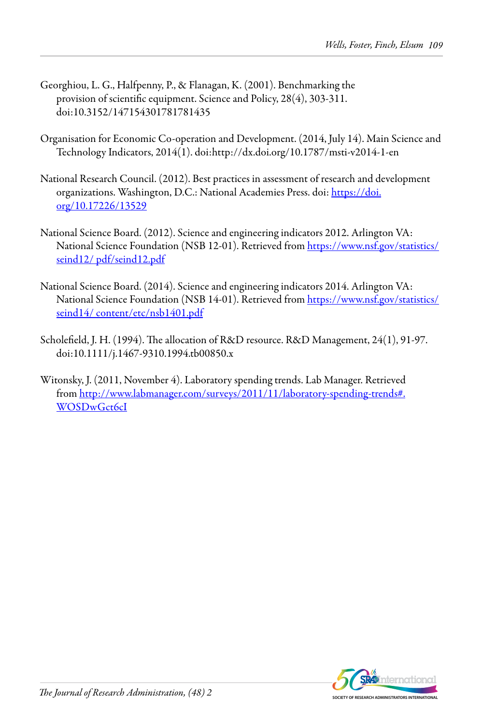- Georghiou, L. G., Halfpenny, P., & Flanagan, K. (2001). Benchmarking the provision of scientific equipment. Science and Policy, 28(4), 303-311. doi:10.3152/147154301781781435
- Organisation for Economic Co-operation and Development. (2014, July 14). Main Science and Technology Indicators, 2014(1). doi:http://dx.doi.org/10.1787/msti-v2014-1-en
- National Research Council. (2012). Best practices in assessment of research and development organizations. Washington, D.C.: National Academies Press. doi: https://doi. org/10.17226/13529
- National Science Board. (2012). Science and engineering indicators 2012. Arlington VA: National Science Foundation (NSB 12-01). Retrieved from https://www.nsf.gov/statistics/ seind12/ pdf/seind12.pdf
- National Science Board. (2014). Science and engineering indicators 2014. Arlington VA: National Science Foundation (NSB 14-01). Retrieved from https://www.nsf.gov/statistics/ seind14/ content/etc/nsb1401.pdf
- Scholefield, J. H. (1994). The allocation of R&D resource. R&D Management, 24(1), 91-97. doi:10.1111/j.1467-9310.1994.tb00850.x
- Witonsky, J. (2011, November 4). Laboratory spending trends. Lab Manager. Retrieved from http://www.labmanager.com/surveys/2011/11/laboratory-spending-trends#. WOSDwGct6cI